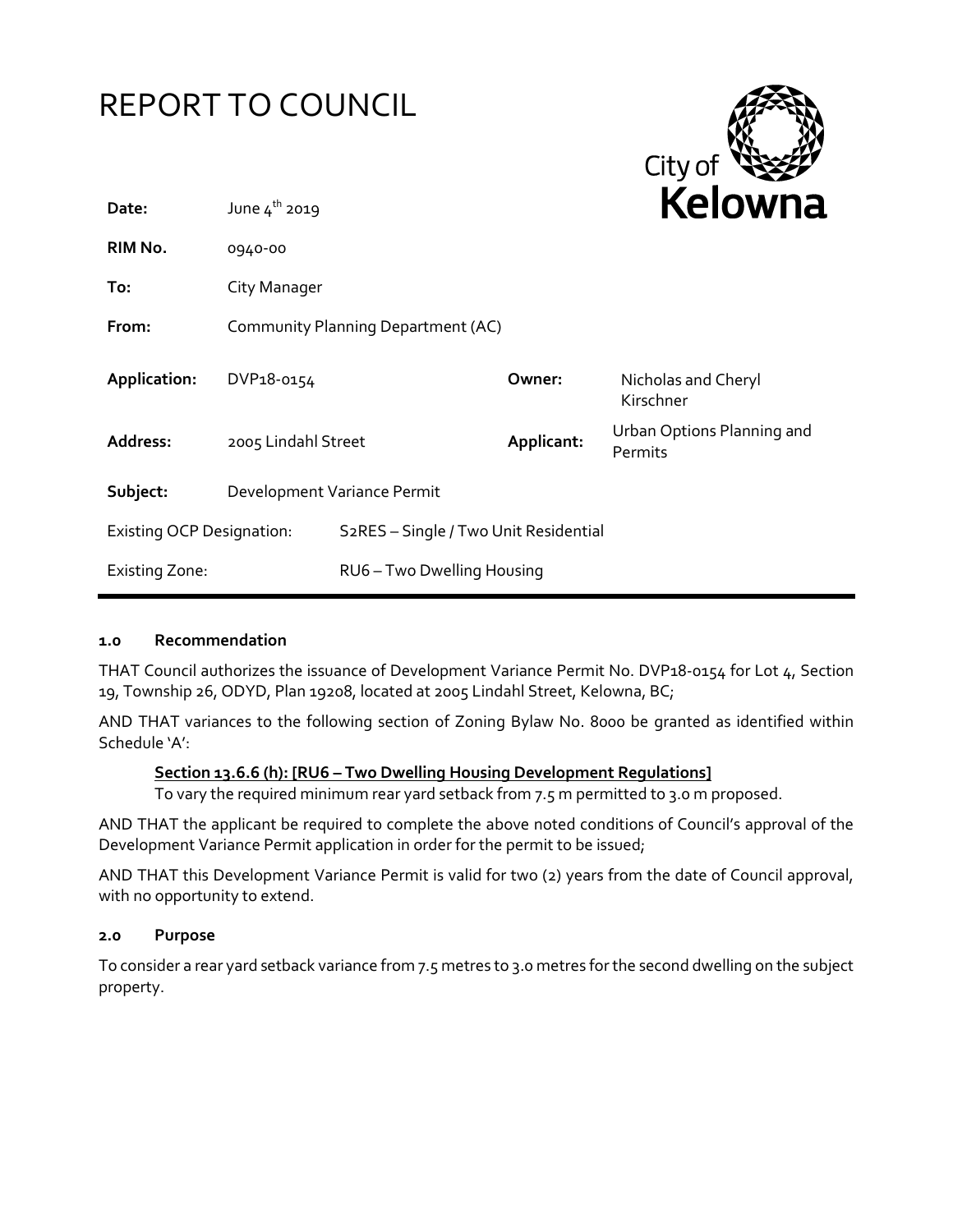# REPORT TO COUNCIL



| Date:                            | June $4^{th}$ 2019                 |                                                    | <b>Reiowna</b> |                                       |
|----------------------------------|------------------------------------|----------------------------------------------------|----------------|---------------------------------------|
| RIM No.                          | 0940-00                            |                                                    |                |                                       |
| To:                              | City Manager                       |                                                    |                |                                       |
| From:                            | Community Planning Department (AC) |                                                    |                |                                       |
| Application:                     | DVP18-0154                         |                                                    | Owner:         | Nicholas and Cheryl<br>Kirschner      |
| Address:                         | 2005 Lindahl Street                |                                                    | Applicant:     | Urban Options Planning and<br>Permits |
| Subject:                         | Development Variance Permit        |                                                    |                |                                       |
| <b>Existing OCP Designation:</b> |                                    | S <sub>2</sub> RES - Single / Two Unit Residential |                |                                       |
| <b>Existing Zone:</b>            |                                    | RU6 - Two Dwelling Housing                         |                |                                       |

#### **1.0 Recommendation**

THAT Council authorizes the issuance of Development Variance Permit No. DVP18-0154 for Lot 4, Section 19, Township 26, ODYD, Plan 19208, located at 2005 Lindahl Street, Kelowna, BC;

AND THAT variances to the following section of Zoning Bylaw No. 8000 be granted as identified within Schedule 'A':

#### **Section 13.6.6 (h): [RU6 – Two Dwelling Housing Development Regulations]**

To vary the required minimum rear yard setback from 7.5 m permitted to 3.0 m proposed.

AND THAT the applicant be required to complete the above noted conditions of Council's approval of the Development Variance Permit application in order for the permit to be issued;

AND THAT this Development Variance Permit is valid for two (2) years from the date of Council approval, with no opportunity to extend.

#### **2.0 Purpose**

To consider a rear yard setback variance from 7.5 metres to 3.0 metres for the second dwelling on the subject property.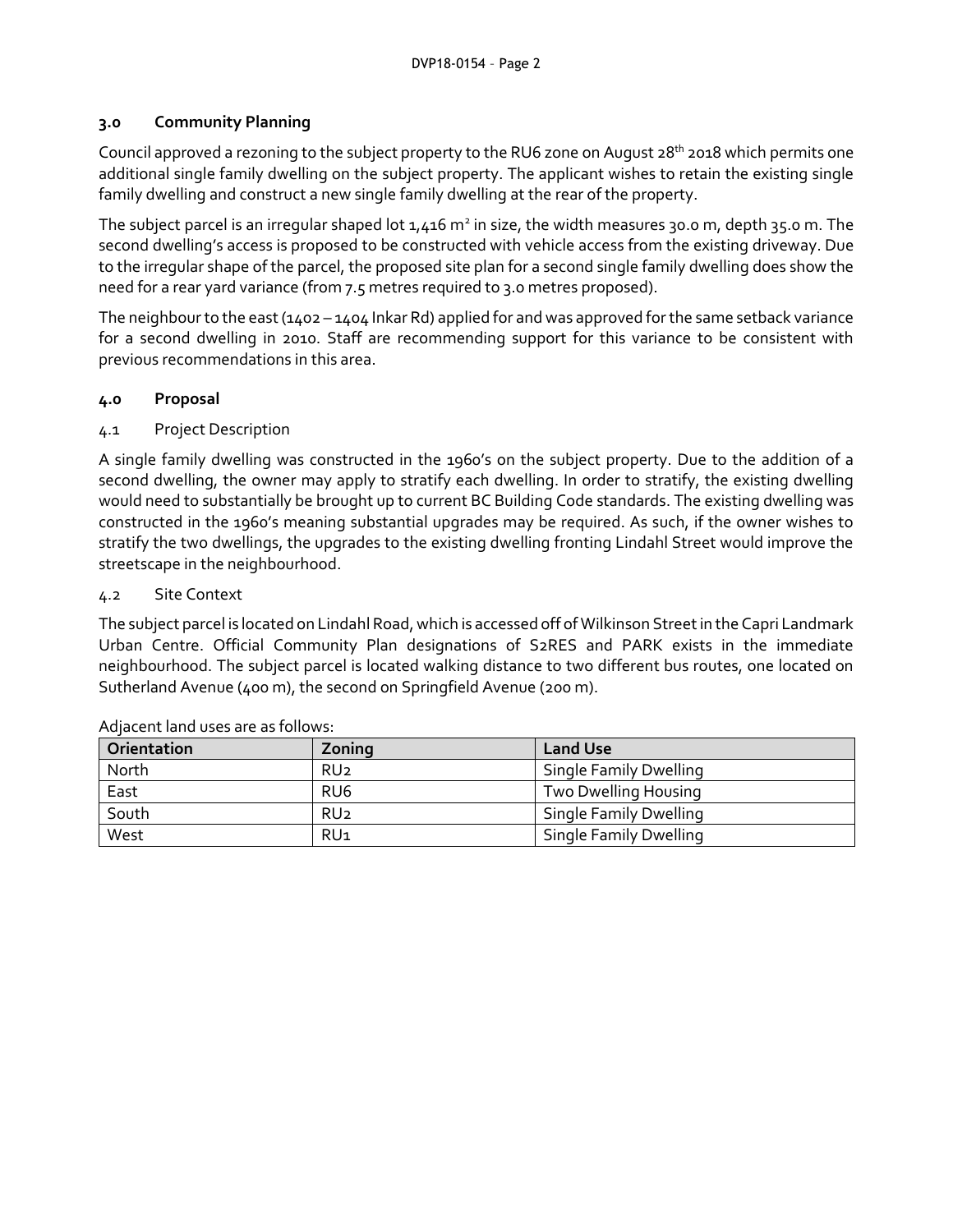#### **3.0 Community Planning**

Council approved a rezoning to the subject property to the RU6 zone on August 28<sup>th</sup> 2018 which permits one additional single family dwelling on the subject property. The applicant wishes to retain the existing single family dwelling and construct a new single family dwelling at the rear of the property.

The subject parcel is an irregular shaped lot  $1,416$  m<sup>2</sup> in size, the width measures 30.0 m, depth 35.0 m. The second dwelling's access is proposed to be constructed with vehicle access from the existing driveway. Due to the irregular shape of the parcel, the proposed site plan for a second single family dwelling does show the need for a rear yard variance (from 7.5 metres required to 3.0 metres proposed).

The neighbour to the east (1402 – 1404 Inkar Rd) applied for and was approved for the same setback variance for a second dwelling in 2010. Staff are recommending support for this variance to be consistent with previous recommendations in this area.

# **4.0 Proposal**

#### 4.1 Project Description

A single family dwelling was constructed in the 1960's on the subject property. Due to the addition of a second dwelling, the owner may apply to stratify each dwelling. In order to stratify, the existing dwelling would need to substantially be brought up to current BC Building Code standards. The existing dwelling was constructed in the 1960's meaning substantial upgrades may be required. As such, if the owner wishes to stratify the two dwellings, the upgrades to the existing dwelling fronting Lindahl Street would improve the streetscape in the neighbourhood.

#### 4.2 Site Context

The subject parcel is located on Lindahl Road, which is accessed off of Wilkinson Street in the Capri Landmark Urban Centre. Official Community Plan designations of S2RES and PARK exists in the immediate neighbourhood. The subject parcel is located walking distance to two different bus routes, one located on Sutherland Avenue (400 m), the second on Springfield Avenue (200 m).

| Orientation | Zoning          | <b>Land Use</b>               |
|-------------|-----------------|-------------------------------|
| North       | RU <sub>2</sub> | Single Family Dwelling        |
| East        | RU <sub>6</sub> | Two Dwelling Housing          |
| South       | RU <sub>2</sub> | Single Family Dwelling        |
| West        | RU <sub>1</sub> | <b>Single Family Dwelling</b> |

Adjacent land uses are as follows: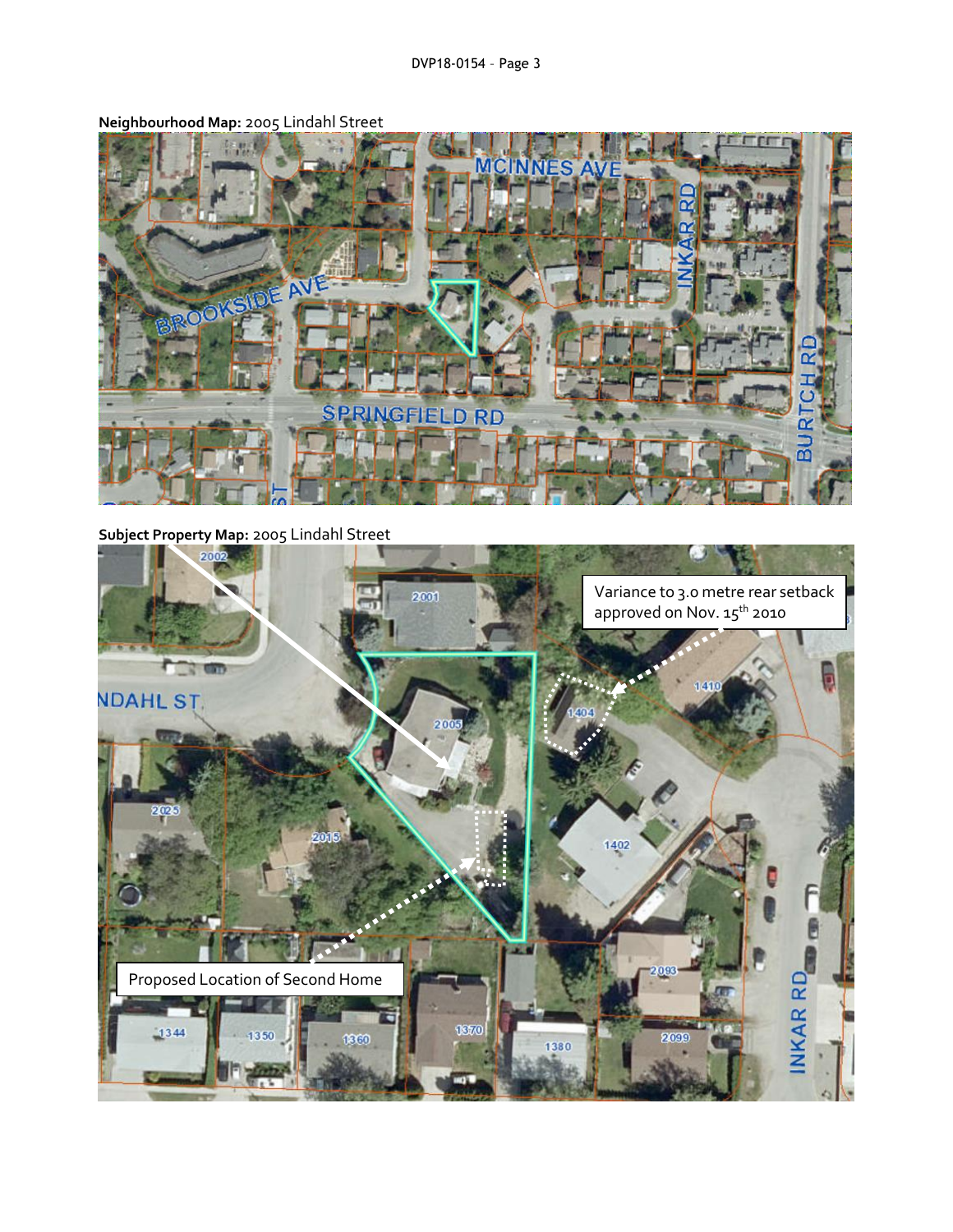

**Neighbourhood Map:** 2005 Lindahl Street

**Subject Property Map:** 2005 Lindahl Street

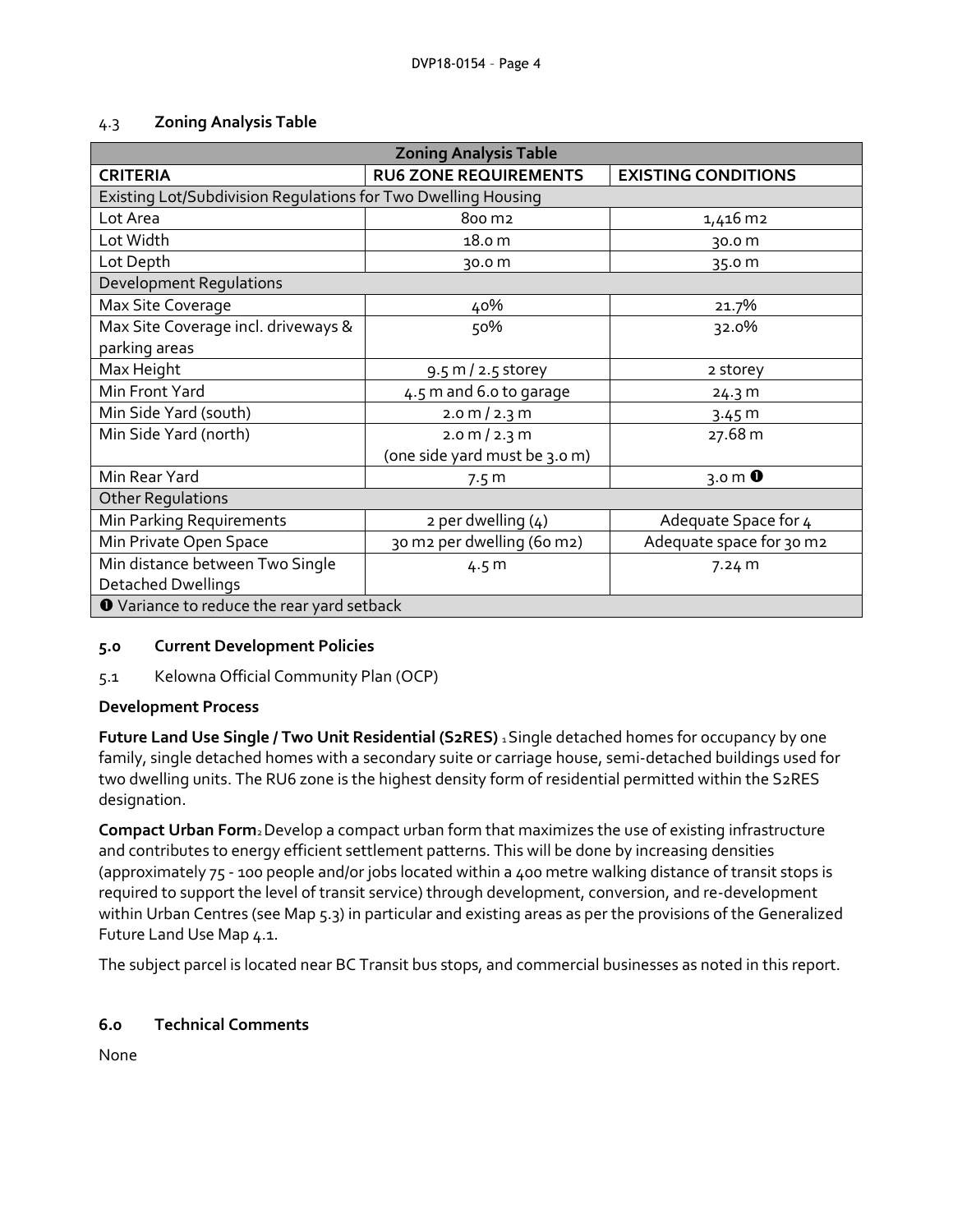| 4.3 | <b>Zoning Analysis Table</b> |
|-----|------------------------------|
|     |                              |

| <b>Zoning Analysis Table</b>                                  |                                 |                            |  |  |
|---------------------------------------------------------------|---------------------------------|----------------------------|--|--|
| <b>CRITERIA</b>                                               | <b>RU6 ZONE REQUIREMENTS</b>    | <b>EXISTING CONDITIONS</b> |  |  |
| Existing Lot/Subdivision Regulations for Two Dwelling Housing |                                 |                            |  |  |
| Lot Area                                                      | 800 m2                          | 1,416 m2                   |  |  |
| Lot Width                                                     | 18.0 m                          | 30.0 m                     |  |  |
| Lot Depth                                                     | 30.0 m                          | 35.0 m                     |  |  |
| <b>Development Regulations</b>                                |                                 |                            |  |  |
| Max Site Coverage                                             | 40%                             | 21.7%                      |  |  |
| Max Site Coverage incl. driveways &                           | 50%                             | 32.0%                      |  |  |
| parking areas                                                 |                                 |                            |  |  |
| Max Height                                                    | 9.5 m / 2.5 storey              | 2 storey                   |  |  |
| Min Front Yard                                                | 4.5 m and 6.0 to garage         | 24.3 m                     |  |  |
| Min Side Yard (south)                                         | $2.0 \text{ m} / 2.3 \text{ m}$ | 3.45 m                     |  |  |
| Min Side Yard (north)                                         | $2.0 \text{ m} / 2.3 \text{ m}$ | 27.68 m                    |  |  |
|                                                               | (one side yard must be 3.0 m)   |                            |  |  |
| Min Rear Yard                                                 | 7.5 <sub>m</sub>                | $3.0 \text{ m}$ 0          |  |  |
| <b>Other Regulations</b>                                      |                                 |                            |  |  |
| Min Parking Requirements                                      | $2$ per dwelling $(4)$          | Adequate Space for 4       |  |  |
| Min Private Open Space                                        | 30 m2 per dwelling (60 m2)      | Adequate space for 30 m2   |  |  |
| Min distance between Two Single                               | 4.5 <sub>m</sub>                | 7.24 m                     |  |  |
| <b>Detached Dwellings</b>                                     |                                 |                            |  |  |
| O Variance to reduce the rear yard setback                    |                                 |                            |  |  |

# **5.0 Current Development Policies**

# 5.1 Kelowna Official Community Plan (OCP)

# **Development Process**

**Future Land Use Single / Two Unit Residential (S2RES)** 1 Single detached homes for occupancy by one family, single detached homes with a secondary suite or carriage house, semi-detached buildings used for two dwelling units. The RU6 zone is the highest density form of residential permitted within the S2RES designation.

**Compact Urban Form**2 Develop a compact urban form that maximizes the use of existing infrastructure and contributes to energy efficient settlement patterns. This will be done by increasing densities (approximately 75 - 100 people and/or jobs located within a 400 metre walking distance of transit stops is required to support the level of transit service) through development, conversion, and re-development within Urban Centres (see Map 5.3) in particular and existing areas as per the provisions of the Generalized Future Land Use Map 4.1.

The subject parcel is located near BC Transit bus stops, and commercial businesses as noted in this report.

# **6.0 Technical Comments**

None